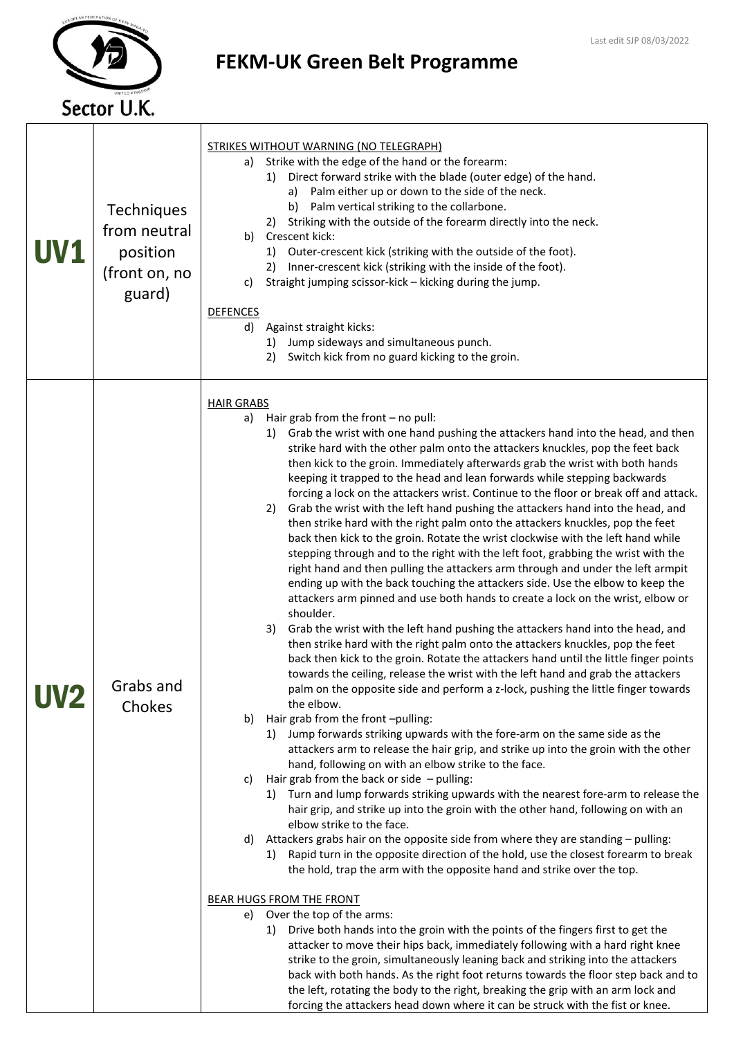

Τ

 $\sqrt{ }$ 

## FEKM-UK Green Belt Programme

| <b>UV1</b> | <b>Techniques</b><br>from neutral<br>position<br>(front on, no<br>guard) | <b>STRIKES WITHOUT WARNING (NO TELEGRAPH)</b><br>a) Strike with the edge of the hand or the forearm:<br>Direct forward strike with the blade (outer edge) of the hand.<br>1)<br>a) Palm either up or down to the side of the neck.<br>b) Palm vertical striking to the collarbone.<br>Striking with the outside of the forearm directly into the neck.<br>2)<br>Crescent kick:<br>b)<br>1) Outer-crescent kick (striking with the outside of the foot).<br>Inner-crescent kick (striking with the inside of the foot).<br>2)<br>Straight jumping scissor-kick - kicking during the jump.<br>C)<br><b>DEFENCES</b><br>d) Against straight kicks:<br>Jump sideways and simultaneous punch.<br>1)<br>Switch kick from no guard kicking to the groin.<br>2)                                                                                                                                                                                                                                                                                                                                                                                                                                                                                                                                                                                                                                                                                                                                                                                                                                                                                                                                                                                                                                                                                                                                                                                                                                                                                                                                                                                                                                                                                                                                                                                                                                                                                                                                                                                                                                                                                                                                                                                                                                                                                                                                                                                                                                               |
|------------|--------------------------------------------------------------------------|-------------------------------------------------------------------------------------------------------------------------------------------------------------------------------------------------------------------------------------------------------------------------------------------------------------------------------------------------------------------------------------------------------------------------------------------------------------------------------------------------------------------------------------------------------------------------------------------------------------------------------------------------------------------------------------------------------------------------------------------------------------------------------------------------------------------------------------------------------------------------------------------------------------------------------------------------------------------------------------------------------------------------------------------------------------------------------------------------------------------------------------------------------------------------------------------------------------------------------------------------------------------------------------------------------------------------------------------------------------------------------------------------------------------------------------------------------------------------------------------------------------------------------------------------------------------------------------------------------------------------------------------------------------------------------------------------------------------------------------------------------------------------------------------------------------------------------------------------------------------------------------------------------------------------------------------------------------------------------------------------------------------------------------------------------------------------------------------------------------------------------------------------------------------------------------------------------------------------------------------------------------------------------------------------------------------------------------------------------------------------------------------------------------------------------------------------------------------------------------------------------------------------------------------------------------------------------------------------------------------------------------------------------------------------------------------------------------------------------------------------------------------------------------------------------------------------------------------------------------------------------------------------------------------------------------------------------------------------------------------------------|
|            | Grabs and<br>Chokes                                                      | <b>HAIR GRABS</b><br>Hair grab from the front $-$ no pull:<br>a)<br>Grab the wrist with one hand pushing the attackers hand into the head, and then<br>1)<br>strike hard with the other palm onto the attackers knuckles, pop the feet back<br>then kick to the groin. Immediately afterwards grab the wrist with both hands<br>keeping it trapped to the head and lean forwards while stepping backwards<br>forcing a lock on the attackers wrist. Continue to the floor or break off and attack.<br>Grab the wrist with the left hand pushing the attackers hand into the head, and<br>2)<br>then strike hard with the right palm onto the attackers knuckles, pop the feet<br>back then kick to the groin. Rotate the wrist clockwise with the left hand while<br>stepping through and to the right with the left foot, grabbing the wrist with the<br>right hand and then pulling the attackers arm through and under the left armpit<br>ending up with the back touching the attackers side. Use the elbow to keep the<br>attackers arm pinned and use both hands to create a lock on the wrist, elbow or<br>shoulder.<br>Grab the wrist with the left hand pushing the attackers hand into the head, and<br>3)<br>then strike hard with the right palm onto the attackers knuckles, pop the feet<br>back then kick to the groin. Rotate the attackers hand until the little finger points<br>towards the ceiling, release the wrist with the left hand and grab the attackers<br>palm on the opposite side and perform a z-lock, pushing the little finger towards<br>the elbow.<br>Hair grab from the front-pulling:<br>b)<br>Jump forwards striking upwards with the fore-arm on the same side as the<br>1)<br>attackers arm to release the hair grip, and strike up into the groin with the other<br>hand, following on with an elbow strike to the face.<br>Hair grab from the back or side $-$ pulling:<br>c)<br>Turn and lump forwards striking upwards with the nearest fore-arm to release the<br>1)<br>hair grip, and strike up into the groin with the other hand, following on with an<br>elbow strike to the face.<br>Attackers grabs hair on the opposite side from where they are standing - pulling:<br>d)<br>Rapid turn in the opposite direction of the hold, use the closest forearm to break<br>1)<br>the hold, trap the arm with the opposite hand and strike over the top.<br><b>BEAR HUGS FROM THE FRONT</b><br>Over the top of the arms:<br>e)<br>Drive both hands into the groin with the points of the fingers first to get the<br>1)<br>attacker to move their hips back, immediately following with a hard right knee<br>strike to the groin, simultaneously leaning back and striking into the attackers<br>back with both hands. As the right foot returns towards the floor step back and to<br>the left, rotating the body to the right, breaking the grip with an arm lock and<br>forcing the attackers head down where it can be struck with the fist or knee. |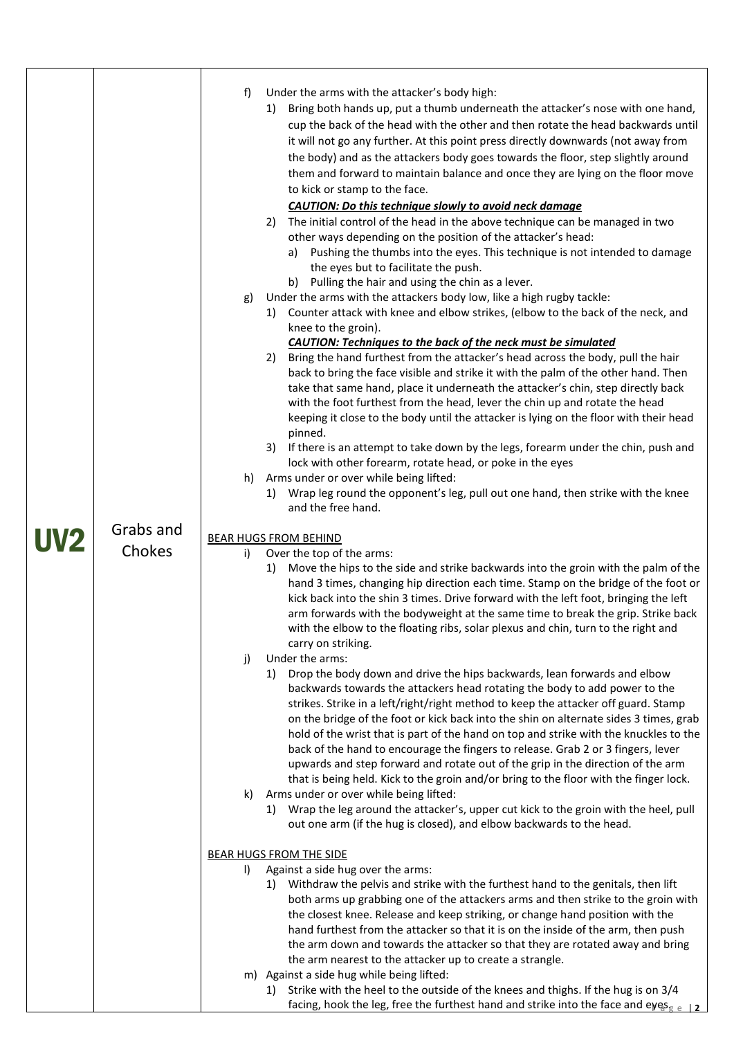| <b>UV2</b> | Grabs and<br>Chokes | f)<br>g)<br>h)<br>i)<br>j)<br>k) | Under the arms with the attacker's body high:<br>Bring both hands up, put a thumb underneath the attacker's nose with one hand,<br>1)<br>cup the back of the head with the other and then rotate the head backwards until<br>it will not go any further. At this point press directly downwards (not away from<br>the body) and as the attackers body goes towards the floor, step slightly around<br>them and forward to maintain balance and once they are lying on the floor move<br>to kick or stamp to the face.<br><b>CAUTION: Do this technique slowly to avoid neck damage</b><br>The initial control of the head in the above technique can be managed in two<br>2)<br>other ways depending on the position of the attacker's head:<br>a) Pushing the thumbs into the eyes. This technique is not intended to damage<br>the eyes but to facilitate the push.<br>b) Pulling the hair and using the chin as a lever.<br>Under the arms with the attackers body low, like a high rugby tackle:<br>1) Counter attack with knee and elbow strikes, (elbow to the back of the neck, and<br>knee to the groin).<br><b>CAUTION: Techniques to the back of the neck must be simulated</b><br>Bring the hand furthest from the attacker's head across the body, pull the hair<br>2)<br>back to bring the face visible and strike it with the palm of the other hand. Then<br>take that same hand, place it underneath the attacker's chin, step directly back<br>with the foot furthest from the head, lever the chin up and rotate the head<br>keeping it close to the body until the attacker is lying on the floor with their head<br>pinned.<br>If there is an attempt to take down by the legs, forearm under the chin, push and<br>3)<br>lock with other forearm, rotate head, or poke in the eyes<br>Arms under or over while being lifted:<br>Wrap leg round the opponent's leg, pull out one hand, then strike with the knee<br>1)<br>and the free hand.<br>BEAR HUGS FROM BEHIND<br>Over the top of the arms:<br>Move the hips to the side and strike backwards into the groin with the palm of the<br>1)<br>hand 3 times, changing hip direction each time. Stamp on the bridge of the foot or<br>kick back into the shin 3 times. Drive forward with the left foot, bringing the left<br>arm forwards with the bodyweight at the same time to break the grip. Strike back<br>with the elbow to the floating ribs, solar plexus and chin, turn to the right and<br>carry on striking.<br>Under the arms:<br>Drop the body down and drive the hips backwards, lean forwards and elbow<br>1)<br>backwards towards the attackers head rotating the body to add power to the<br>strikes. Strike in a left/right/right method to keep the attacker off guard. Stamp<br>on the bridge of the foot or kick back into the shin on alternate sides 3 times, grab<br>hold of the wrist that is part of the hand on top and strike with the knuckles to the<br>back of the hand to encourage the fingers to release. Grab 2 or 3 fingers, lever<br>upwards and step forward and rotate out of the grip in the direction of the arm<br>that is being held. Kick to the groin and/or bring to the floor with the finger lock.<br>Arms under or over while being lifted:<br>Wrap the leg around the attacker's, upper cut kick to the groin with the heel, pull<br>1) |
|------------|---------------------|----------------------------------|-------------------------------------------------------------------------------------------------------------------------------------------------------------------------------------------------------------------------------------------------------------------------------------------------------------------------------------------------------------------------------------------------------------------------------------------------------------------------------------------------------------------------------------------------------------------------------------------------------------------------------------------------------------------------------------------------------------------------------------------------------------------------------------------------------------------------------------------------------------------------------------------------------------------------------------------------------------------------------------------------------------------------------------------------------------------------------------------------------------------------------------------------------------------------------------------------------------------------------------------------------------------------------------------------------------------------------------------------------------------------------------------------------------------------------------------------------------------------------------------------------------------------------------------------------------------------------------------------------------------------------------------------------------------------------------------------------------------------------------------------------------------------------------------------------------------------------------------------------------------------------------------------------------------------------------------------------------------------------------------------------------------------------------------------------------------------------------------------------------------------------------------------------------------------------------------------------------------------------------------------------------------------------------------------------------------------------------------------------------------------------------------------------------------------------------------------------------------------------------------------------------------------------------------------------------------------------------------------------------------------------------------------------------------------------------------------------------------------------------------------------------------------------------------------------------------------------------------------------------------------------------------------------------------------------------------------------------------------------------------------------------------------------------------------------------------------------------------------------------------------------------------------------------------------------------------------------------------------------------------------------------------------------------------------------------------------------------------------------------------|
|            |                     |                                  | out one arm (if the hug is closed), and elbow backwards to the head.                                                                                                                                                                                                                                                                                                                                                                                                                                                                                                                                                                                                                                                                                                                                                                                                                                                                                                                                                                                                                                                                                                                                                                                                                                                                                                                                                                                                                                                                                                                                                                                                                                                                                                                                                                                                                                                                                                                                                                                                                                                                                                                                                                                                                                                                                                                                                                                                                                                                                                                                                                                                                                                                                                                                                                                                                                                                                                                                                                                                                                                                                                                                                                                                                                                                                              |
|            |                     | I)                               | <b>BEAR HUGS FROM THE SIDE</b><br>Against a side hug over the arms:                                                                                                                                                                                                                                                                                                                                                                                                                                                                                                                                                                                                                                                                                                                                                                                                                                                                                                                                                                                                                                                                                                                                                                                                                                                                                                                                                                                                                                                                                                                                                                                                                                                                                                                                                                                                                                                                                                                                                                                                                                                                                                                                                                                                                                                                                                                                                                                                                                                                                                                                                                                                                                                                                                                                                                                                                                                                                                                                                                                                                                                                                                                                                                                                                                                                                               |
|            |                     |                                  | Withdraw the pelvis and strike with the furthest hand to the genitals, then lift<br>1)<br>both arms up grabbing one of the attackers arms and then strike to the groin with<br>the closest knee. Release and keep striking, or change hand position with the<br>hand furthest from the attacker so that it is on the inside of the arm, then push<br>the arm down and towards the attacker so that they are rotated away and bring<br>the arm nearest to the attacker up to create a strangle.<br>m) Against a side hug while being lifted:                                                                                                                                                                                                                                                                                                                                                                                                                                                                                                                                                                                                                                                                                                                                                                                                                                                                                                                                                                                                                                                                                                                                                                                                                                                                                                                                                                                                                                                                                                                                                                                                                                                                                                                                                                                                                                                                                                                                                                                                                                                                                                                                                                                                                                                                                                                                                                                                                                                                                                                                                                                                                                                                                                                                                                                                                       |
|            |                     |                                  | Strike with the heel to the outside of the knees and thighs. If the hug is on 3/4<br>1)<br>facing, hook the leg, free the furthest hand and strike into the face and eyes <sub>gell</sub>                                                                                                                                                                                                                                                                                                                                                                                                                                                                                                                                                                                                                                                                                                                                                                                                                                                                                                                                                                                                                                                                                                                                                                                                                                                                                                                                                                                                                                                                                                                                                                                                                                                                                                                                                                                                                                                                                                                                                                                                                                                                                                                                                                                                                                                                                                                                                                                                                                                                                                                                                                                                                                                                                                                                                                                                                                                                                                                                                                                                                                                                                                                                                                         |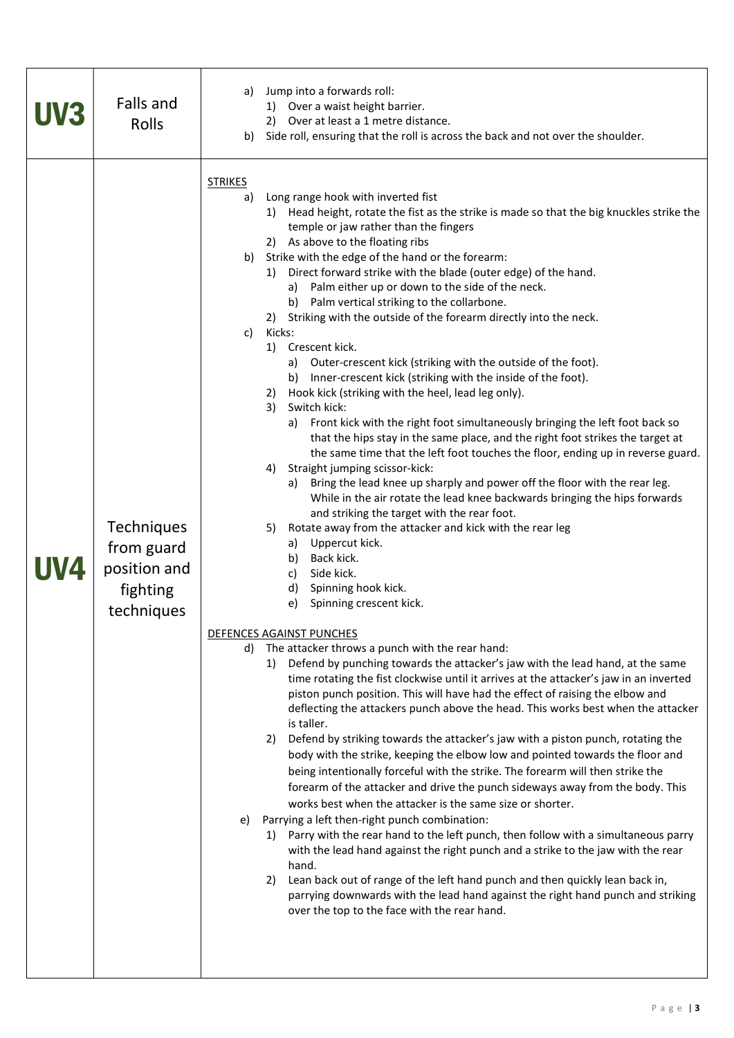| UV3        | Falls and<br>Rolls                                                 | Jump into a forwards roll:<br>a)<br>1) Over a waist height barrier.<br>2) Over at least a 1 metre distance.<br>Side roll, ensuring that the roll is across the back and not over the shoulder.<br>b)                                                                                                                                                                                                                                                                                                                                                                                                                                                                                                                                                                                                                                                                                                                                                                                                                                                                                                                                                                                                                                                                                                                                                                                                                                                                                                                                                                                                                                                                                                                                                                                                                                                                                                                                                                                                                                                                                                                                                                                                                                                                                                                                                                                                                                                                                                                                                                                                                                                                                                                                                                                                                                                        |
|------------|--------------------------------------------------------------------|-------------------------------------------------------------------------------------------------------------------------------------------------------------------------------------------------------------------------------------------------------------------------------------------------------------------------------------------------------------------------------------------------------------------------------------------------------------------------------------------------------------------------------------------------------------------------------------------------------------------------------------------------------------------------------------------------------------------------------------------------------------------------------------------------------------------------------------------------------------------------------------------------------------------------------------------------------------------------------------------------------------------------------------------------------------------------------------------------------------------------------------------------------------------------------------------------------------------------------------------------------------------------------------------------------------------------------------------------------------------------------------------------------------------------------------------------------------------------------------------------------------------------------------------------------------------------------------------------------------------------------------------------------------------------------------------------------------------------------------------------------------------------------------------------------------------------------------------------------------------------------------------------------------------------------------------------------------------------------------------------------------------------------------------------------------------------------------------------------------------------------------------------------------------------------------------------------------------------------------------------------------------------------------------------------------------------------------------------------------------------------------------------------------------------------------------------------------------------------------------------------------------------------------------------------------------------------------------------------------------------------------------------------------------------------------------------------------------------------------------------------------------------------------------------------------------------------------------------------------|
| <b>UV4</b> | Techniques<br>from guard<br>position and<br>fighting<br>techniques | <b>STRIKES</b><br>Long range hook with inverted fist<br>a)<br>Head height, rotate the fist as the strike is made so that the big knuckles strike the<br>1)<br>temple or jaw rather than the fingers<br>2) As above to the floating ribs<br>Strike with the edge of the hand or the forearm:<br>b)<br>Direct forward strike with the blade (outer edge) of the hand.<br>1)<br>a) Palm either up or down to the side of the neck.<br>b) Palm vertical striking to the collarbone.<br>2) Striking with the outside of the forearm directly into the neck.<br>c)<br>Kicks:<br>1) Crescent kick.<br>a) Outer-crescent kick (striking with the outside of the foot).<br>b) Inner-crescent kick (striking with the inside of the foot).<br>Hook kick (striking with the heel, lead leg only).<br>2)<br>3)<br>Switch kick:<br>a) Front kick with the right foot simultaneously bringing the left foot back so<br>that the hips stay in the same place, and the right foot strikes the target at<br>the same time that the left foot touches the floor, ending up in reverse guard.<br>4) Straight jumping scissor-kick:<br>a) Bring the lead knee up sharply and power off the floor with the rear leg.<br>While in the air rotate the lead knee backwards bringing the hips forwards<br>and striking the target with the rear foot.<br>Rotate away from the attacker and kick with the rear leg<br>5)<br>Uppercut kick.<br>a)<br>b) Back kick.<br>c) Side kick.<br>d) Spinning hook kick.<br>Spinning crescent kick.<br>e)<br>DEFENCES AGAINST PUNCHES<br>The attacker throws a punch with the rear hand:<br>d)<br>Defend by punching towards the attacker's jaw with the lead hand, at the same<br>1)<br>time rotating the fist clockwise until it arrives at the attacker's jaw in an inverted<br>piston punch position. This will have had the effect of raising the elbow and<br>deflecting the attackers punch above the head. This works best when the attacker<br>is taller.<br>Defend by striking towards the attacker's jaw with a piston punch, rotating the<br>2)<br>body with the strike, keeping the elbow low and pointed towards the floor and<br>being intentionally forceful with the strike. The forearm will then strike the<br>forearm of the attacker and drive the punch sideways away from the body. This<br>works best when the attacker is the same size or shorter.<br>Parrying a left then-right punch combination:<br>e)<br>1) Parry with the rear hand to the left punch, then follow with a simultaneous parry<br>with the lead hand against the right punch and a strike to the jaw with the rear<br>hand.<br>Lean back out of range of the left hand punch and then quickly lean back in,<br>2)<br>parrying downwards with the lead hand against the right hand punch and striking<br>over the top to the face with the rear hand. |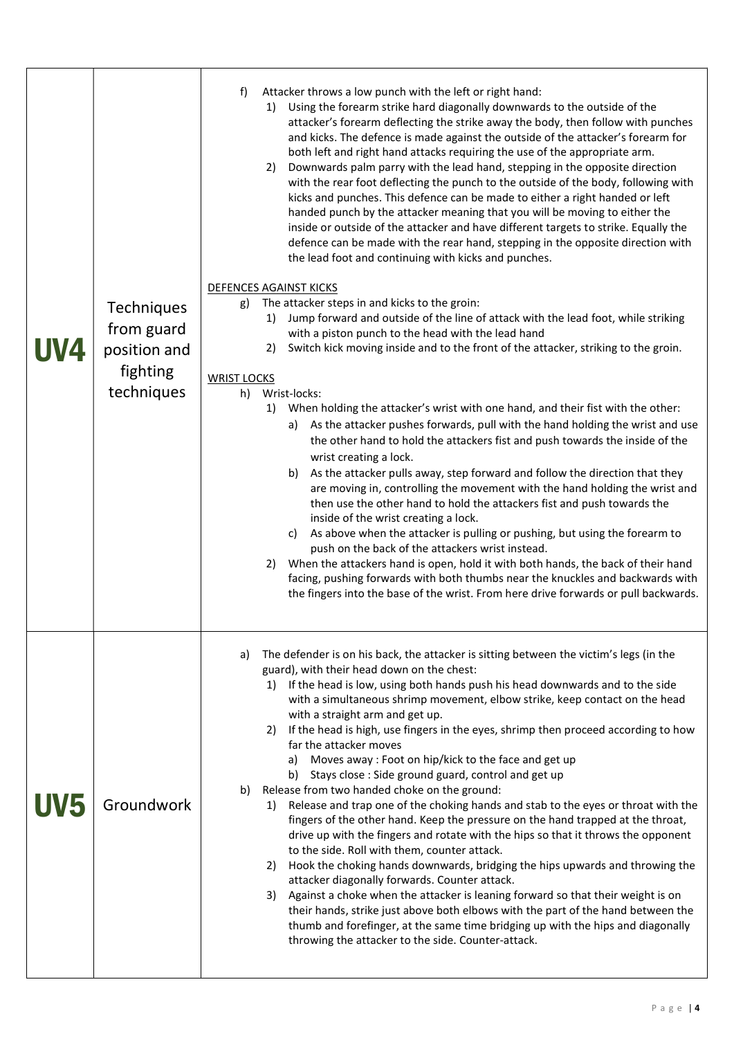| UV4 | Techniques<br>from guard<br>position and<br>fighting<br>techniques | f)<br>Attacker throws a low punch with the left or right hand:<br>Using the forearm strike hard diagonally downwards to the outside of the<br>1)<br>attacker's forearm deflecting the strike away the body, then follow with punches<br>and kicks. The defence is made against the outside of the attacker's forearm for<br>both left and right hand attacks requiring the use of the appropriate arm.<br>Downwards palm parry with the lead hand, stepping in the opposite direction<br>2)<br>with the rear foot deflecting the punch to the outside of the body, following with<br>kicks and punches. This defence can be made to either a right handed or left<br>handed punch by the attacker meaning that you will be moving to either the<br>inside or outside of the attacker and have different targets to strike. Equally the<br>defence can be made with the rear hand, stepping in the opposite direction with<br>the lead foot and continuing with kicks and punches.<br>DEFENCES AGAINST KICKS<br>The attacker steps in and kicks to the groin:<br>g)<br>Jump forward and outside of the line of attack with the lead foot, while striking<br>1)<br>with a piston punch to the head with the lead hand<br>Switch kick moving inside and to the front of the attacker, striking to the groin.<br>2)<br><b>WRIST LOCKS</b><br>Wrist-locks:<br>h)<br>When holding the attacker's wrist with one hand, and their fist with the other:<br>1)<br>As the attacker pushes forwards, pull with the hand holding the wrist and use<br>a)<br>the other hand to hold the attackers fist and push towards the inside of the<br>wrist creating a lock.<br>b) As the attacker pulls away, step forward and follow the direction that they<br>are moving in, controlling the movement with the hand holding the wrist and<br>then use the other hand to hold the attackers fist and push towards the<br>inside of the wrist creating a lock.<br>c) As above when the attacker is pulling or pushing, but using the forearm to<br>push on the back of the attackers wrist instead.<br>When the attackers hand is open, hold it with both hands, the back of their hand<br>2)<br>facing, pushing forwards with both thumbs near the knuckles and backwards with<br>the fingers into the base of the wrist. From here drive forwards or pull backwards. |
|-----|--------------------------------------------------------------------|---------------------------------------------------------------------------------------------------------------------------------------------------------------------------------------------------------------------------------------------------------------------------------------------------------------------------------------------------------------------------------------------------------------------------------------------------------------------------------------------------------------------------------------------------------------------------------------------------------------------------------------------------------------------------------------------------------------------------------------------------------------------------------------------------------------------------------------------------------------------------------------------------------------------------------------------------------------------------------------------------------------------------------------------------------------------------------------------------------------------------------------------------------------------------------------------------------------------------------------------------------------------------------------------------------------------------------------------------------------------------------------------------------------------------------------------------------------------------------------------------------------------------------------------------------------------------------------------------------------------------------------------------------------------------------------------------------------------------------------------------------------------------------------------------------------------------------------------------------------------------------------------------------------------------------------------------------------------------------------------------------------------------------------------------------------------------------------------------------------------------------------------------------------------------------------------------------------------------------------------------------------------------------------------------------------------------------------------------|
| UV5 | Groundwork                                                         | The defender is on his back, the attacker is sitting between the victim's legs (in the<br>a)<br>guard), with their head down on the chest:<br>1) If the head is low, using both hands push his head downwards and to the side<br>with a simultaneous shrimp movement, elbow strike, keep contact on the head<br>with a straight arm and get up.<br>If the head is high, use fingers in the eyes, shrimp then proceed according to how<br>2)<br>far the attacker moves<br>a) Moves away: Foot on hip/kick to the face and get up<br>b) Stays close : Side ground guard, control and get up<br>Release from two handed choke on the ground:<br>b)<br>1) Release and trap one of the choking hands and stab to the eyes or throat with the<br>fingers of the other hand. Keep the pressure on the hand trapped at the throat,<br>drive up with the fingers and rotate with the hips so that it throws the opponent<br>to the side. Roll with them, counter attack.<br>Hook the choking hands downwards, bridging the hips upwards and throwing the<br>2)<br>attacker diagonally forwards. Counter attack.<br>Against a choke when the attacker is leaning forward so that their weight is on<br>3)<br>their hands, strike just above both elbows with the part of the hand between the<br>thumb and forefinger, at the same time bridging up with the hips and diagonally<br>throwing the attacker to the side. Counter-attack.                                                                                                                                                                                                                                                                                                                                                                                                                                                                                                                                                                                                                                                                                                                                                                                                                                                                                                                      |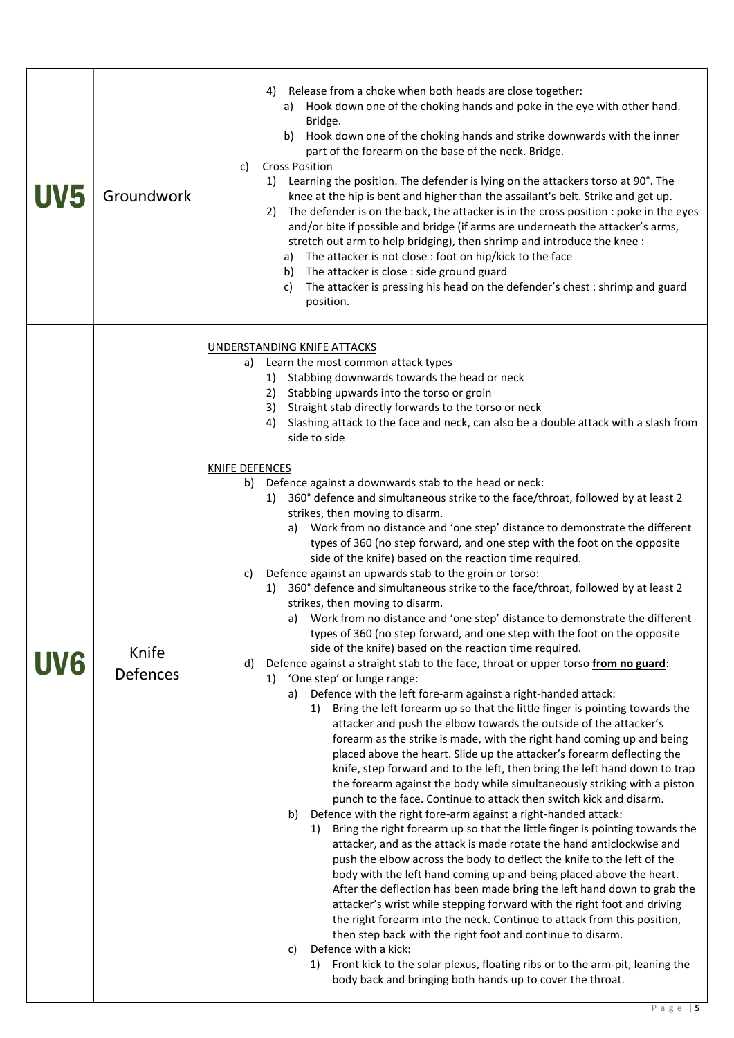| <b>UV5</b> | Groundwork               | Release from a choke when both heads are close together:<br>4)<br>a) Hook down one of the choking hands and poke in the eye with other hand.<br>Bridge.<br>Hook down one of the choking hands and strike downwards with the inner<br>b)<br>part of the forearm on the base of the neck. Bridge.<br><b>Cross Position</b><br>c)<br>1) Learning the position. The defender is lying on the attackers torso at 90°. The<br>knee at the hip is bent and higher than the assailant's belt. Strike and get up.<br>The defender is on the back, the attacker is in the cross position : poke in the eyes<br>2)<br>and/or bite if possible and bridge (if arms are underneath the attacker's arms,<br>stretch out arm to help bridging), then shrimp and introduce the knee :<br>a) The attacker is not close : foot on hip/kick to the face<br>The attacker is close : side ground guard<br>b)<br>The attacker is pressing his head on the defender's chest : shrimp and guard<br>C)<br>position.                                                                                                                                                                                                                                                                                                                                                                                                                                                                                                                                                                                                                                                                                                                                                                                                                                                                                                                                                                                                                                                                                                                                                                                                                                                                                                                                                                                                                                                                                                                                                                                                                                                                                                                                                                                                                                                               |
|------------|--------------------------|----------------------------------------------------------------------------------------------------------------------------------------------------------------------------------------------------------------------------------------------------------------------------------------------------------------------------------------------------------------------------------------------------------------------------------------------------------------------------------------------------------------------------------------------------------------------------------------------------------------------------------------------------------------------------------------------------------------------------------------------------------------------------------------------------------------------------------------------------------------------------------------------------------------------------------------------------------------------------------------------------------------------------------------------------------------------------------------------------------------------------------------------------------------------------------------------------------------------------------------------------------------------------------------------------------------------------------------------------------------------------------------------------------------------------------------------------------------------------------------------------------------------------------------------------------------------------------------------------------------------------------------------------------------------------------------------------------------------------------------------------------------------------------------------------------------------------------------------------------------------------------------------------------------------------------------------------------------------------------------------------------------------------------------------------------------------------------------------------------------------------------------------------------------------------------------------------------------------------------------------------------------------------------------------------------------------------------------------------------------------------------------------------------------------------------------------------------------------------------------------------------------------------------------------------------------------------------------------------------------------------------------------------------------------------------------------------------------------------------------------------------------------------------------------------------------------------------------------------------|
| UV6        | Knife<br><b>Defences</b> | <b>UNDERSTANDING KNIFE ATTACKS</b><br>a) Learn the most common attack types<br>1) Stabbing downwards towards the head or neck<br>2) Stabbing upwards into the torso or groin<br>Straight stab directly forwards to the torso or neck<br>3)<br>Slashing attack to the face and neck, can also be a double attack with a slash from<br>4)<br>side to side<br><b>KNIFE DEFENCES</b><br>Defence against a downwards stab to the head or neck:<br>b)<br>360° defence and simultaneous strike to the face/throat, followed by at least 2<br>1)<br>strikes, then moving to disarm.<br>Work from no distance and 'one step' distance to demonstrate the different<br>a)<br>types of 360 (no step forward, and one step with the foot on the opposite<br>side of the knife) based on the reaction time required.<br>Defence against an upwards stab to the groin or torso:<br>C)<br>360° defence and simultaneous strike to the face/throat, followed by at least 2<br>1)<br>strikes, then moving to disarm.<br>a) Work from no distance and 'one step' distance to demonstrate the different<br>types of 360 (no step forward, and one step with the foot on the opposite<br>side of the knife) based on the reaction time required.<br>Defence against a straight stab to the face, throat or upper torso from no guard:<br>d)<br>'One step' or lunge range:<br>1)<br>Defence with the left fore-arm against a right-handed attack:<br>a)<br>Bring the left forearm up so that the little finger is pointing towards the<br>1)<br>attacker and push the elbow towards the outside of the attacker's<br>forearm as the strike is made, with the right hand coming up and being<br>placed above the heart. Slide up the attacker's forearm deflecting the<br>knife, step forward and to the left, then bring the left hand down to trap<br>the forearm against the body while simultaneously striking with a piston<br>punch to the face. Continue to attack then switch kick and disarm.<br>b)<br>Defence with the right fore-arm against a right-handed attack:<br>Bring the right forearm up so that the little finger is pointing towards the<br>1)<br>attacker, and as the attack is made rotate the hand anticlockwise and<br>push the elbow across the body to deflect the knife to the left of the<br>body with the left hand coming up and being placed above the heart.<br>After the deflection has been made bring the left hand down to grab the<br>attacker's wrist while stepping forward with the right foot and driving<br>the right forearm into the neck. Continue to attack from this position,<br>then step back with the right foot and continue to disarm.<br>Defence with a kick:<br>c)<br>Front kick to the solar plexus, floating ribs or to the arm-pit, leaning the<br>1)<br>body back and bringing both hands up to cover the throat. |